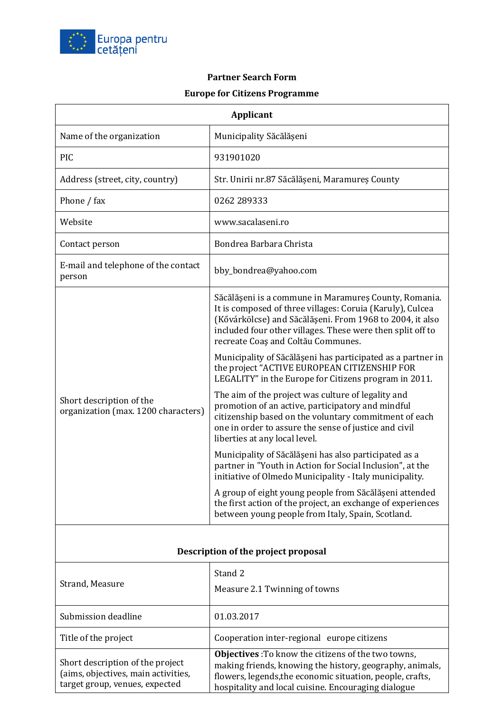

## **Partner Search Form Europe for Citizens Programme**

| <b>Applicant</b>                                                                                          |                                                                                                                                                                                                                                                                                    |  |
|-----------------------------------------------------------------------------------------------------------|------------------------------------------------------------------------------------------------------------------------------------------------------------------------------------------------------------------------------------------------------------------------------------|--|
| Name of the organization                                                                                  | Municipality Săcălășeni                                                                                                                                                                                                                                                            |  |
| <b>PIC</b>                                                                                                | 931901020                                                                                                                                                                                                                                                                          |  |
| Address (street, city, country)                                                                           | Str. Unirii nr.87 Săcălășeni, Maramureș County                                                                                                                                                                                                                                     |  |
| Phone / fax                                                                                               | 0262 289333                                                                                                                                                                                                                                                                        |  |
| Website                                                                                                   | www.sacalaseni.ro                                                                                                                                                                                                                                                                  |  |
| Contact person                                                                                            | Bondrea Barbara Christa                                                                                                                                                                                                                                                            |  |
| E-mail and telephone of the contact<br>person                                                             | bby_bondrea@yahoo.com                                                                                                                                                                                                                                                              |  |
| Short description of the<br>organization (max. 1200 characters)                                           | Săcălășeni is a commune in Maramureș County, Romania.<br>It is composed of three villages: Coruia (Karuly), Culcea<br>(Kővárkölcse) and Săcălășeni. From 1968 to 2004, it also<br>included four other villages. These were then split off to<br>recreate Coaș and Coltău Communes. |  |
|                                                                                                           | Municipality of Săcălășeni has participated as a partner in<br>the project "ACTIVE EUROPEAN CITIZENSHIP FOR<br>LEGALITY" in the Europe for Citizens program in 2011.                                                                                                               |  |
|                                                                                                           | The aim of the project was culture of legality and<br>promotion of an active, participatory and mindful<br>citizenship based on the voluntary commitment of each<br>one in order to assure the sense of justice and civil<br>liberties at any local level.                         |  |
|                                                                                                           | Municipality of Săcălășeni has also participated as a<br>partner in "Youth in Action for Social Inclusion", at the<br>initiative of Olmedo Municipality - Italy municipality.                                                                                                      |  |
|                                                                                                           | A group of eight young people from Săcălășeni attended<br>the first action of the project, an exchange of experiences<br>between young people from Italy, Spain, Scotland.                                                                                                         |  |
| Description of the project proposal                                                                       |                                                                                                                                                                                                                                                                                    |  |
| Strand, Measure                                                                                           | Stand 2                                                                                                                                                                                                                                                                            |  |
|                                                                                                           | Measure 2.1 Twinning of towns                                                                                                                                                                                                                                                      |  |
| Submission deadline                                                                                       | 01.03.2017                                                                                                                                                                                                                                                                         |  |
| Title of the project                                                                                      | Cooperation inter-regional europe citizens                                                                                                                                                                                                                                         |  |
| Short description of the project<br>(aims, objectives, main activities,<br>target group, venues, expected | Objectives : To know the citizens of the two towns,<br>making friends, knowing the history, geography, animals,<br>flowers, legends, the economic situation, people, crafts,<br>hospitality and local cuisine. Encouraging dialogue                                                |  |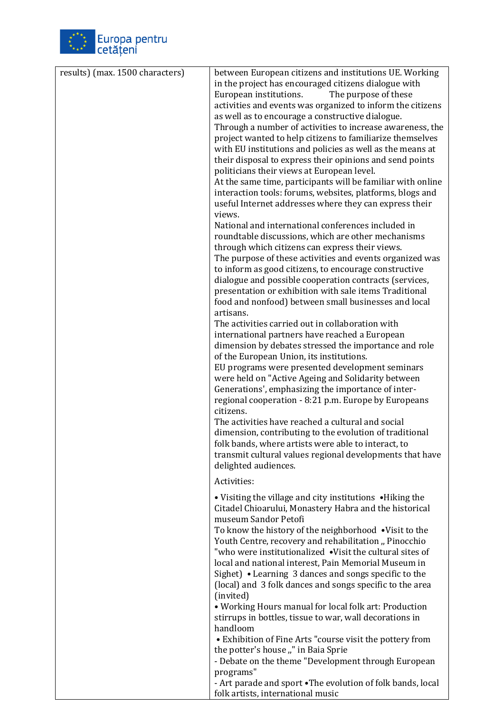

| results) (max. 1500 characters) | between European citizens and institutions UE. Working                                           |
|---------------------------------|--------------------------------------------------------------------------------------------------|
|                                 | in the project has encouraged citizens dialogue with                                             |
|                                 | The purpose of these<br>European institutions.                                                   |
|                                 | activities and events was organized to inform the citizens                                       |
|                                 | as well as to encourage a constructive dialogue.                                                 |
|                                 | Through a number of activities to increase awareness, the                                        |
|                                 | project wanted to help citizens to familiarize themselves                                        |
|                                 | with EU institutions and policies as well as the means at                                        |
|                                 | their disposal to express their opinions and send points                                         |
|                                 | politicians their views at European level.                                                       |
|                                 | At the same time, participants will be familiar with online                                      |
|                                 | interaction tools: forums, websites, platforms, blogs and                                        |
|                                 | useful Internet addresses where they can express their                                           |
|                                 | views.                                                                                           |
|                                 | National and international conferences included in                                               |
|                                 | roundtable discussions, which are other mechanisms                                               |
|                                 | through which citizens can express their views.                                                  |
|                                 | The purpose of these activities and events organized was                                         |
|                                 | to inform as good citizens, to encourage constructive                                            |
|                                 | dialogue and possible cooperation contracts (services,                                           |
|                                 | presentation or exhibition with sale items Traditional                                           |
|                                 | food and nonfood) between small businesses and local                                             |
|                                 | artisans.                                                                                        |
|                                 | The activities carried out in collaboration with                                                 |
|                                 | international partners have reached a European                                                   |
|                                 | dimension by debates stressed the importance and role                                            |
|                                 | of the European Union, its institutions.                                                         |
|                                 | EU programs were presented development seminars                                                  |
|                                 | were held on "Active Ageing and Solidarity between                                               |
|                                 | Generations', emphasizing the importance of inter-                                               |
|                                 | regional cooperation - 8:21 p.m. Europe by Europeans                                             |
|                                 | citizens.                                                                                        |
|                                 | The activities have reached a cultural and social                                                |
|                                 | dimension, contributing to the evolution of traditional                                          |
|                                 | folk bands, where artists were able to interact, to                                              |
|                                 | transmit cultural values regional developments that have                                         |
|                                 | delighted audiences.                                                                             |
|                                 | Activities:                                                                                      |
|                                 | • Visiting the village and city institutions • Hiking the                                        |
|                                 | Citadel Chioarului, Monastery Habra and the historical                                           |
|                                 | museum Sandor Petofi                                                                             |
|                                 | To know the history of the neighborhood .Visit to the                                            |
|                                 | Youth Centre, recovery and rehabilitation "Pinocchio                                             |
|                                 | "who were institutionalized .Visit the cultural sites of                                         |
|                                 | local and national interest, Pain Memorial Museum in                                             |
|                                 | Sighet) • Learning 3 dances and songs specific to the                                            |
|                                 | (local) and 3 folk dances and songs specific to the area                                         |
|                                 | (invited)                                                                                        |
|                                 | • Working Hours manual for local folk art: Production                                            |
|                                 | stirrups in bottles, tissue to war, wall decorations in                                          |
|                                 | handloom                                                                                         |
|                                 | • Exhibition of Fine Arts "course visit the pottery from                                         |
|                                 | the potter's house "" in Baia Sprie                                                              |
|                                 | - Debate on the theme "Development through European                                              |
|                                 | programs"                                                                                        |
|                                 | - Art parade and sport . The evolution of folk bands, local<br>folk artists, international music |
|                                 |                                                                                                  |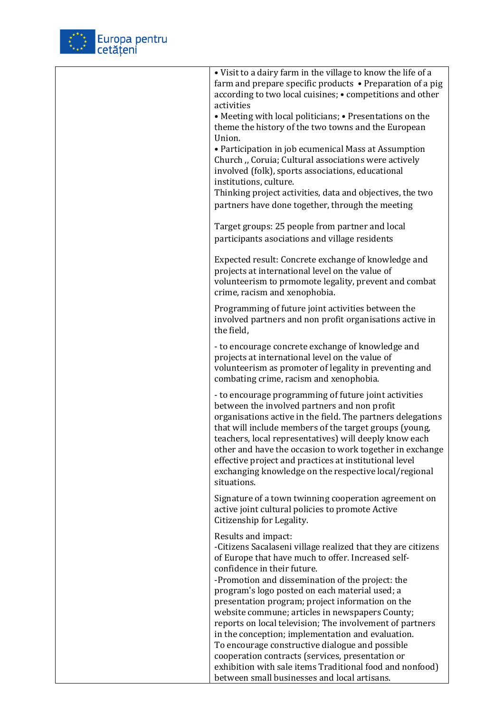

| • Visit to a dairy farm in the village to know the life of a<br>farm and prepare specific products • Preparation of a pig<br>according to two local cuisines; • competitions and other<br>activities<br>• Meeting with local politicians; • Presentations on the<br>theme the history of the two towns and the European<br>Union.<br>• Participation in job ecumenical Mass at Assumption<br>Church "Coruia; Cultural associations were actively<br>involved (folk), sports associations, educational<br>institutions, culture.<br>Thinking project activities, data and objectives, the two<br>partners have done together, through the meeting |
|--------------------------------------------------------------------------------------------------------------------------------------------------------------------------------------------------------------------------------------------------------------------------------------------------------------------------------------------------------------------------------------------------------------------------------------------------------------------------------------------------------------------------------------------------------------------------------------------------------------------------------------------------|
| Target groups: 25 people from partner and local<br>participants asociations and village residents                                                                                                                                                                                                                                                                                                                                                                                                                                                                                                                                                |
| Expected result: Concrete exchange of knowledge and<br>projects at international level on the value of<br>volunteerism to prmomote legality, prevent and combat<br>crime, racism and xenophobia.                                                                                                                                                                                                                                                                                                                                                                                                                                                 |
| Programming of future joint activities between the<br>involved partners and non profit organisations active in<br>the field,                                                                                                                                                                                                                                                                                                                                                                                                                                                                                                                     |
| - to encourage concrete exchange of knowledge and<br>projects at international level on the value of<br>volunteerism as promoter of legality in preventing and<br>combating crime, racism and xenophobia.                                                                                                                                                                                                                                                                                                                                                                                                                                        |
| - to encourage programming of future joint activities<br>between the involved partners and non profit<br>organisations active in the field. The partners delegations<br>that will include members of the target groups (young,<br>teachers, local representatives) will deeply know each<br>other and have the occasion to work together in exchange<br>effective project and practices at institutional level<br>exchanging knowledge on the respective local/regional<br>situations.                                                                                                                                                           |
| Signature of a town twinning cooperation agreement on<br>active joint cultural policies to promote Active<br>Citizenship for Legality.                                                                                                                                                                                                                                                                                                                                                                                                                                                                                                           |
| Results and impact:<br>-Citizens Sacalaseni village realized that they are citizens<br>of Europe that have much to offer. Increased self-<br>confidence in their future.                                                                                                                                                                                                                                                                                                                                                                                                                                                                         |
| -Promotion and dissemination of the project: the<br>program's logo posted on each material used; a<br>presentation program; project information on the<br>website commune; articles in newspapers County;<br>reports on local television; The involvement of partners<br>in the conception; implementation and evaluation.<br>To encourage constructive dialogue and possible<br>cooperation contracts (services, presentation or<br>exhibition with sale items Traditional food and nonfood)                                                                                                                                                    |
| between small businesses and local artisans.                                                                                                                                                                                                                                                                                                                                                                                                                                                                                                                                                                                                     |